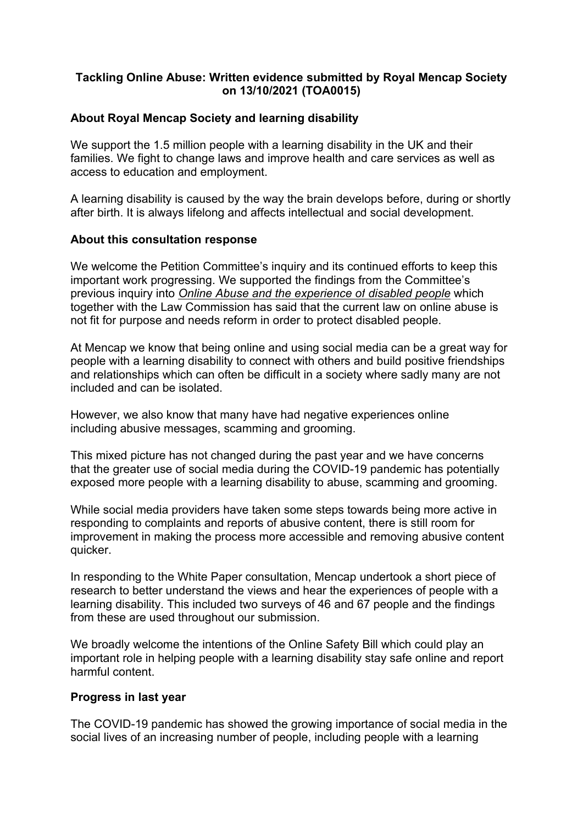# **Tackling Online Abuse: Written evidence submitted by Royal Mencap Society on 13/10/2021 (TOA0015)**

# **About Royal Mencap Society and learning disability**

We support the 1.5 million people with a learning disability in the UK and their families. We fight to change laws and improve health and care services as well as access to education and employment.

A learning disability is caused by the way the brain develops before, during or shortly after birth. It is always lifelong and affects intellectual and social development.

# **About this consultation response**

We welcome the Petition Committee's inquiry and its continued efforts to keep this important work progressing. We supported the findings from the Committee's previous inquiry into *[Online](https://www.parliament.uk/business/committees/committees-a-z/commons-select/petitions-committee/inquiries/parliament-2017/online-abuse-17-19/) [Abuse](https://www.parliament.uk/business/committees/committees-a-z/commons-select/petitions-committee/inquiries/parliament-2017/online-abuse-17-19/) [and](https://www.parliament.uk/business/committees/committees-a-z/commons-select/petitions-committee/inquiries/parliament-2017/online-abuse-17-19/) [the](https://www.parliament.uk/business/committees/committees-a-z/commons-select/petitions-committee/inquiries/parliament-2017/online-abuse-17-19/) [experience](https://www.parliament.uk/business/committees/committees-a-z/commons-select/petitions-committee/inquiries/parliament-2017/online-abuse-17-19/) [of](https://www.parliament.uk/business/committees/committees-a-z/commons-select/petitions-committee/inquiries/parliament-2017/online-abuse-17-19/) [disabled](https://www.parliament.uk/business/committees/committees-a-z/commons-select/petitions-committee/inquiries/parliament-2017/online-abuse-17-19/) [people](https://www.parliament.uk/business/committees/committees-a-z/commons-select/petitions-committee/inquiries/parliament-2017/online-abuse-17-19/)* which together with the Law Commission has said that the current law on online abuse is not fit for purpose and needs reform in order to protect disabled people.

At Mencap we know that being online and using social media can be a great way for people with a learning disability to connect with others and build positive friendships and relationships which can often be difficult in a society where sadly many are not included and can be isolated.

However, we also know that many have had negative experiences online including abusive messages, scamming and grooming.

This mixed picture has not changed during the past year and we have concerns that the greater use of social media during the COVID-19 pandemic has potentially exposed more people with a learning disability to abuse, scamming and grooming.

While social media providers have taken some steps towards being more active in responding to complaints and reports of abusive content, there is still room for improvement in making the process more accessible and removing abusive content quicker.

In responding to the White Paper consultation, Mencap undertook a short piece of research to better understand the views and hear the experiences of people with a learning disability. This included two surveys of 46 and 67 people and the findings from these are used throughout our submission.

We broadly welcome the intentions of the Online Safety Bill which could play an important role in helping people with a learning disability stay safe online and report harmful content.

# **Progress in last year**

The COVID-19 pandemic has showed the growing importance of social media in the social lives of an increasing number of people, including people with a learning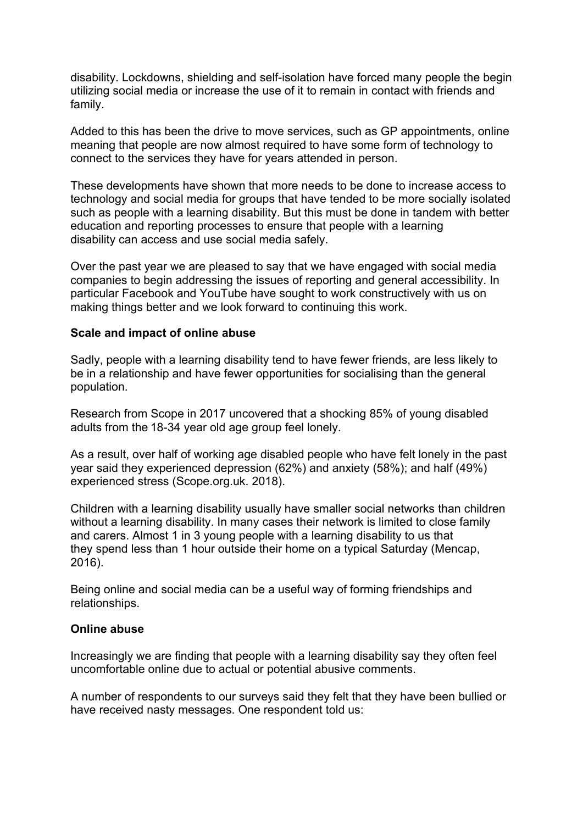disability. Lockdowns, shielding and self-isolation have forced many people the begin utilizing social media or increase the use of it to remain in contact with friends and family.

Added to this has been the drive to move services, such as GP appointments, online meaning that people are now almost required to have some form of technology to connect to the services they have for years attended in person.

These developments have shown that more needs to be done to increase access to technology and social media for groups that have tended to be more socially isolated such as people with a learning disability. But this must be done in tandem with better education and reporting processes to ensure that people with a learning disability can access and use social media safely.

Over the past year we are pleased to say that we have engaged with social media companies to begin addressing the issues of reporting and general accessibility. In particular Facebook and YouTube have sought to work constructively with us on making things better and we look forward to continuing this work.

### **Scale and impact of online abuse**

Sadly, people with a learning disability tend to have fewer friends, are less likely to be in a relationship and have fewer opportunities for socialising than the general population.

Research from Scope in 2017 uncovered that a shocking 85% of young disabled adults from the 18-34 year old age group feel lonely.

As a result, over half of working age disabled people who have felt lonely in the past year said they experienced depression (62%) and anxiety (58%); and half (49%) experienced stress (Scope.org.uk. 2018).

Children with a learning disability usually have smaller social networks than children without a learning disability. In many cases their network is limited to close family and carers. Almost 1 in 3 young people with a learning disability to us that they spend less than 1 hour outside their home on a typical Saturday (Mencap, 2016).

Being online and social media can be a useful way of forming friendships and relationships.

#### **Online abuse**

Increasingly we are finding that people with a learning disability say they often feel uncomfortable online due to actual or potential abusive comments.

A number of respondents to our surveys said they felt that they have been bullied or have received nasty messages. One respondent told us: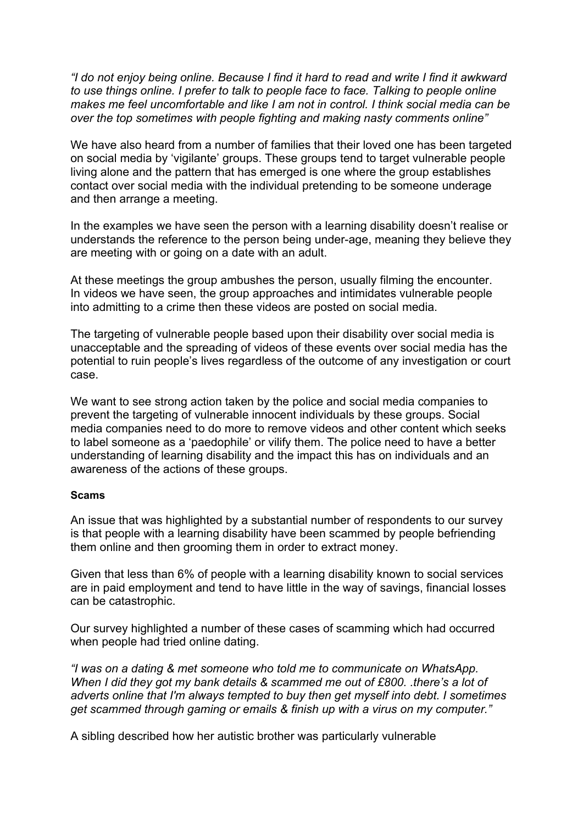*"I do not enjoy being online. Because I find it hard to read and write I find it awkward to use things online. I prefer to talk to people face to face. Talking to people online makes me feel uncomfortable and like I am not in control. I think social media can be over the top sometimes with people fighting and making nasty comments online"*

We have also heard from a number of families that their loved one has been targeted on social media by 'vigilante' groups. These groups tend to target vulnerable people living alone and the pattern that has emerged is one where the group establishes contact over social media with the individual pretending to be someone underage and then arrange a meeting.

In the examples we have seen the person with a learning disability doesn't realise or understands the reference to the person being under-age, meaning they believe they are meeting with or going on a date with an adult.

At these meetings the group ambushes the person, usually filming the encounter. In videos we have seen, the group approaches and intimidates vulnerable people into admitting to a crime then these videos are posted on social media.

The targeting of vulnerable people based upon their disability over social media is unacceptable and the spreading of videos of these events over social media has the potential to ruin people's lives regardless of the outcome of any investigation or court case.

We want to see strong action taken by the police and social media companies to prevent the targeting of vulnerable innocent individuals by these groups. Social media companies need to do more to remove videos and other content which seeks to label someone as a 'paedophile' or vilify them. The police need to have a better understanding of learning disability and the impact this has on individuals and an awareness of the actions of these groups.

#### **Scams**

An issue that was highlighted by a substantial number of respondents to our survey is that people with a learning disability have been scammed by people befriending them online and then grooming them in order to extract money.

Given that less than 6% of people with a learning disability known to social services are in paid employment and tend to have little in the way of savings, financial losses can be catastrophic.

Our survey highlighted a number of these cases of scamming which had occurred when people had tried online dating.

*"I was on a dating & met someone who told me to communicate on WhatsApp. When I did they got my bank details & scammed me out of £800. .there's a lot of adverts online that I'm always tempted to buy then get myself into debt. I sometimes get scammed through gaming or emails & finish up with a virus on my computer."*

A sibling described how her autistic brother was particularly vulnerable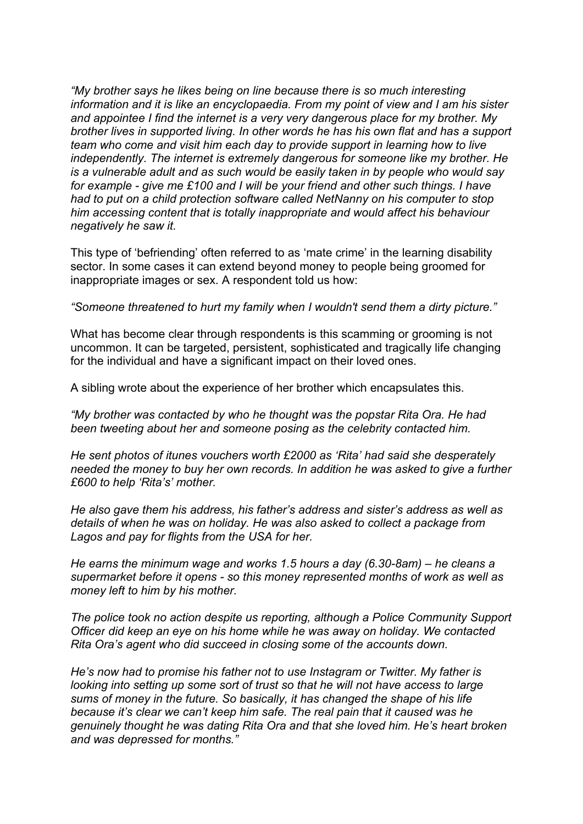*"My brother says he likes being on line because there is so much interesting information and it is like an encyclopaedia. From my point of view and I am his sister and appointee I find the internet is a very very dangerous place for my brother. My brother lives in supported living. In other words he has his own flat and has a support team who come and visit him each day to provide support in learning how to live independently. The internet is extremely dangerous for someone like my brother. He is a vulnerable adult and as such would be easily taken in by people who would say for example - give me £100 and I will be your friend and other such things. I have had to put on a child protection software called NetNanny on his computer to stop him accessing content that is totally inappropriate and would affect his behaviour negatively he saw it.*

This type of 'befriending' often referred to as 'mate crime' in the learning disability sector. In some cases it can extend beyond money to people being groomed for inappropriate images or sex. A respondent told us how:

*"Someone threatened to hurt my family when I wouldn't send them a dirty picture."*

What has become clear through respondents is this scamming or grooming is not uncommon. It can be targeted, persistent, sophisticated and tragically life changing for the individual and have a significant impact on their loved ones.

A sibling wrote about the experience of her brother which encapsulates this.

*"My brother was contacted by who he thought was the popstar Rita Ora. He had been tweeting about her and someone posing as the celebrity contacted him.*

*He sent photos of itunes vouchers worth £2000 as 'Rita' had said she desperately needed the money to buy her own records. In addition he was asked to give a further £600 to help 'Rita's' mother.*

*He also gave them his address, his father's address and sister's address as well as details of when he was on holiday. He was also asked to collect a package from Lagos and pay for flights from the USA for her.*

*He earns the minimum wage and works 1.5 hours a day (6.30-8am) – he cleans a supermarket before it opens - so this money represented months of work as well as money left to him by his mother.*

*The police took no action despite us reporting, although a Police Community Support Officer did keep an eye on his home while he was away on holiday. We contacted Rita Ora's agent who did succeed in closing some of the accounts down.*

*He's now had to promise his father not to use Instagram or Twitter. My father is looking into setting up some sort of trust so that he will not have access to large sums of money in the future. So basically, it has changed the shape of his life because it's clear we can't keep him safe. The real pain that it caused was he genuinely thought he was dating Rita Ora and that she loved him. He's heart broken and was depressed for months."*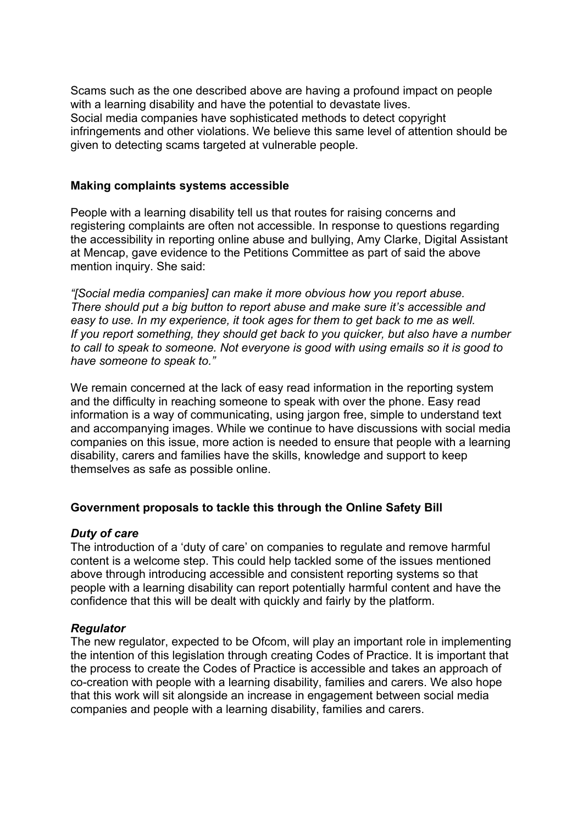Scams such as the one described above are having a profound impact on people with a learning disability and have the potential to devastate lives. Social media companies have sophisticated methods to detect copyright infringements and other violations. We believe this same level of attention should be given to detecting scams targeted at vulnerable people.

### **Making complaints systems accessible**

People with a learning disability tell us that routes for raising concerns and registering complaints are often not accessible. In response to questions regarding the accessibility in reporting online abuse and bullying, Amy Clarke, Digital Assistant at Mencap, gave evidence to the Petitions Committee as part of said the above mention inquiry. She said:

*"[Social media companies] can make it more obvious how you report abuse. There should put a big button to report abuse and make sure it's accessible and easy to use. In my experience, it took ages for them to get back to me as well. If you report something, they should get back to you quicker, but also have a number to call to speak to someone. Not everyone is good with using emails so it is good to have someone to speak to."*

We remain concerned at the lack of easy read information in the reporting system and the difficulty in reaching someone to speak with over the phone. Easy read information is a way of communicating, using jargon free, simple to understand text and accompanying images. While we continue to have discussions with social media companies on this issue, more action is needed to ensure that people with a learning disability, carers and families have the skills, knowledge and support to keep themselves as safe as possible online.

# **Government proposals to tackle this through the Online Safety Bill**

#### *Duty of care*

The introduction of a 'duty of care' on companies to regulate and remove harmful content is a welcome step. This could help tackled some of the issues mentioned above through introducing accessible and consistent reporting systems so that people with a learning disability can report potentially harmful content and have the confidence that this will be dealt with quickly and fairly by the platform.

# *Regulator*

The new regulator, expected to be Ofcom, will play an important role in implementing the intention of this legislation through creating Codes of Practice. It is important that the process to create the Codes of Practice is accessible and takes an approach of co-creation with people with a learning disability, families and carers. We also hope that this work will sit alongside an increase in engagement between social media companies and people with a learning disability, families and carers.